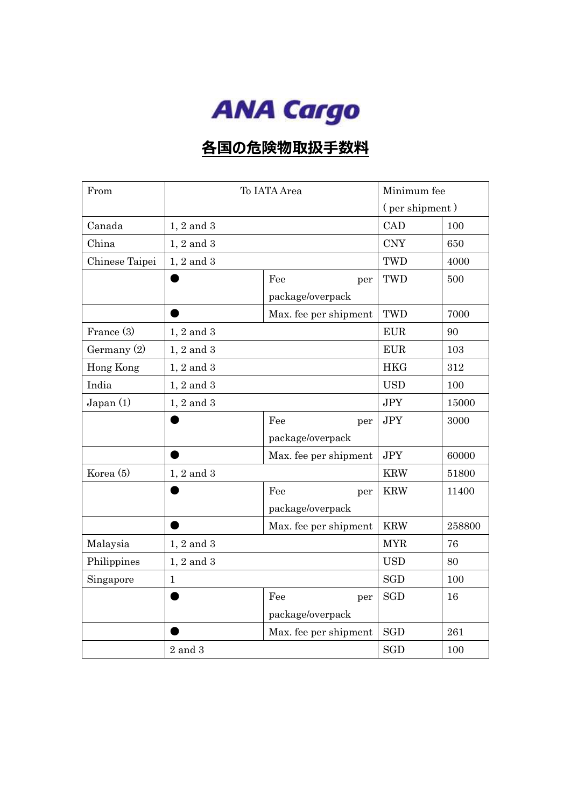

## **各国の危険物取扱手数料**

| From           | To IATA Area     |                       | Minimum fee    |        |
|----------------|------------------|-----------------------|----------------|--------|
|                |                  |                       | (per shipment) |        |
| Canada         | $1, 2$ and $3$   |                       | CAD            | 100    |
| China          | $1, 2$ and $3$   |                       | <b>CNY</b>     | 650    |
| Chinese Taipei | $1, 2$ and $3$   |                       | TWD            | 4000   |
|                |                  | Fee<br>per            | TWD            | 500    |
|                |                  | package/overpack      |                |        |
|                |                  | Max. fee per shipment | TWD            | 7000   |
| France (3)     | $1, 2$ and $3$   |                       | <b>EUR</b>     | 90     |
| Germany $(2)$  | $1, 2$ and $3\,$ |                       | <b>EUR</b>     | 103    |
| Hong Kong      | $1, 2$ and $3$   |                       | <b>HKG</b>     | 312    |
| India          | $1, 2$ and $3$   |                       | <b>USD</b>     | 100    |
| Japan (1)      | $1, 2$ and $3$   |                       | <b>JPY</b>     | 15000  |
|                |                  | Fee<br>per            | <b>JPY</b>     | 3000   |
|                |                  | package/overpack      |                |        |
|                |                  | Max. fee per shipment | <b>JPY</b>     | 60000  |
| Korea (5)      | $1, 2$ and $3$   |                       |                | 51800  |
|                |                  | Fee<br>per            | <b>KRW</b>     | 11400  |
|                |                  | package/overpack      |                |        |
|                |                  | Max. fee per shipment | <b>KRW</b>     | 258800 |
| Malaysia       | $1, 2$ and $3$   |                       | <b>MYR</b>     | 76     |
| Philippines    | $1, 2$ and $3$   |                       | <b>USD</b>     | 80     |
| Singapore      | $\mathbf{1}$     |                       | <b>SGD</b>     | 100    |
|                |                  | Fee<br>per            | <b>SGD</b>     | 16     |
|                |                  | package/overpack      |                |        |
|                |                  | Max. fee per shipment | <b>SGD</b>     | 261    |
|                | $2$ and $3$      |                       | <b>SGD</b>     | 100    |